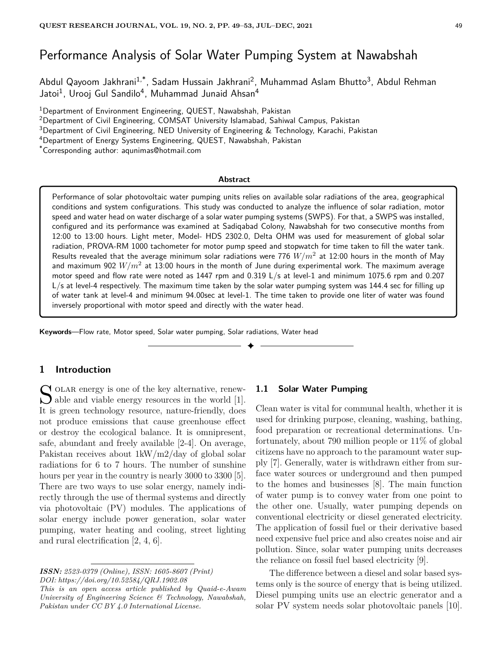# Performance Analysis of Solar Water Pumping System at Nawabshah

Abdul Qayoom Jakhrani<sup>1,\*</sup>, Sadam Hussain Jakhrani<sup>2</sup>, Muhammad Aslam Bhutto<sup>3</sup>, Abdul Rehman Jatoi<sup>1</sup>, Urooj Gul Sandilo<sup>4</sup>, Muhammad Junaid Ahsan<sup>4</sup>

<sup>1</sup>Department of Environment Engineering, QUEST, Nawabshah, Pakistan

<sup>2</sup>Department of Civil Engineering, COMSAT University Islamabad, Sahiwal Campus, Pakistan

<sup>3</sup>Department of Civil Engineering, NED University of Engineering & Technology, Karachi, Pakistan

<sup>4</sup>Department of Energy Systems Engineering, QUEST, Nawabshah, Pakistan

\*Corresponding author: aqunimas@hotmail.com

#### **Abstract**

Performance of solar photovoltaic water pumping units relies on available solar radiations of the area, geographical conditions and system configurations. This study was conducted to analyze the influence of solar radiation, motor speed and water head on water discharge of a solar water pumping systems (SWPS). For that, a SWPS was installed, configured and its performance was examined at Sadiqabad Colony, Nawabshah for two consecutive months from 12:00 to 13:00 hours. Light meter, Model- HDS 2302.0, Delta OHM was used for measurement of global solar radiation, PROVA-RM 1000 tachometer for motor pump speed and stopwatch for time taken to fill the water tank. Results revealed that the average minimum solar radiations were 776  $W/m^2$  at 12:00 hours in the month of May and maximum 902  $W/m^2$  at 13:00 hours in the month of June during experimental work. The maximum average motor speed and flow rate were noted as 1447 rpm and 0.319 L/s at level-1 and minimum 1075.6 rpm and 0.207 L/s at level-4 respectively. The maximum time taken by the solar water pumping system was 144.4 sec for filling up of water tank at level-4 and minimum 94.00sec at level-1. The time taken to provide one liter of water was found inversely proportional with motor speed and directly with the water head.

✦

**Keywords**—Flow rate, Motor speed, Solar water pumping, Solar radiations, Water head

# **1 Introduction**

 $\sum_{k=1}^{\infty}$  OLAR energy is one of the key alternative, renew-<br>able and viable energy resources in the world [1].  $\bigcup$  able and viable energy resources in the world [1]. It is green technology resource, nature-friendly, does not produce emissions that cause greenhouse effect or destroy the ecological balance. It is omnipresent, safe, abundant and freely available [2-4]. On average, Pakistan receives about 1kW/m2/day of global solar radiations for 6 to 7 hours. The number of sunshine hours per year in the country is nearly 3000 to 3300 [5]. There are two ways to use solar energy, namely indirectly through the use of thermal systems and directly via photovoltaic (PV) modules. The applications of solar energy include power generation, solar water pumping, water heating and cooling, street lighting and rural electrification [2, 4, 6].

*This is an open access article published by Quaid-e-Awam University of Engineering Science & Technology, Nawabshah, Pakistan under CC BY 4.0 International License.*

#### **1.1 Solar Water Pumping**

Clean water is vital for communal health, whether it is used for drinking purpose, cleaning, washing, bathing, food preparation or recreational determinations. Unfortunately, about 790 million people or 11% of global citizens have no approach to the paramount water supply [7]. Generally, water is withdrawn either from surface water sources or underground and then pumped to the homes and businesses [8]. The main function of water pump is to convey water from one point to the other one. Usually, water pumping depends on conventional electricity or diesel generated electricity. The application of fossil fuel or their derivative based need expensive fuel price and also creates noise and air pollution. Since, solar water pumping units decreases the reliance on fossil fuel based electricity [9].

The difference between a diesel and solar based systems only is the source of energy that is being utilized. Diesel pumping units use an electric generator and a solar PV system needs solar photovoltaic panels [10].

*ISSN: 2523-0379 (Online), ISSN: 1605-8607 (Print) DOI: https://doi.org/10.52584/QRJ.1902.08*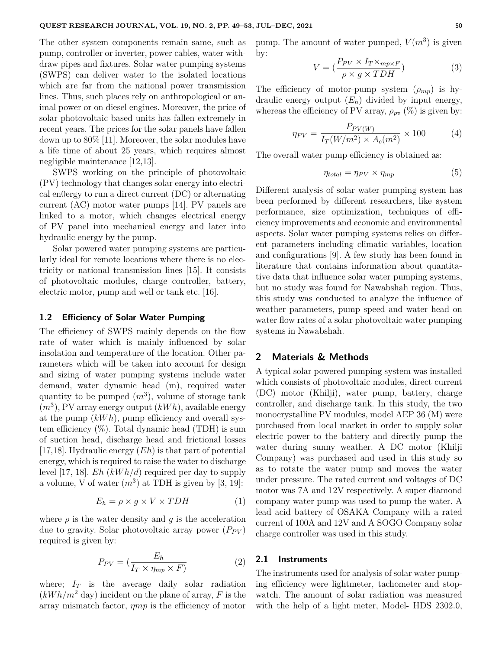The other system components remain same, such as pump, controller or inverter, power cables, water withdraw pipes and fixtures. Solar water pumping systems (SWPS) can deliver water to the isolated locations which are far from the national power transmission lines. Thus, such places rely on anthropological or animal power or on diesel engines. Moreover, the price of solar photovoltaic based units has fallen extremely in recent years. The prices for the solar panels have fallen down up to 80% [11]. Moreover, the solar modules have a life time of about 25 years, which requires almost negligible maintenance [12,13].

SWPS working on the principle of photovoltaic (PV) technology that changes solar energy into electrical en0ergy to run a direct current (DC) or alternating current (AC) motor water pumps [14]. PV panels are linked to a motor, which changes electrical energy of PV panel into mechanical energy and later into hydraulic energy by the pump.

Solar powered water pumping systems are particularly ideal for remote locations where there is no electricity or national transmission lines [15]. It consists of photovoltaic modules, charge controller, battery, electric motor, pump and well or tank etc. [16].

#### **1.2 Efficiency of Solar Water Pumping**

The efficiency of SWPS mainly depends on the flow rate of water which is mainly influenced by solar insolation and temperature of the location. Other parameters which will be taken into account for design and sizing of water pumping systems include water demand, water dynamic head (m), required water quantity to be pumped  $(m^3)$ , volume of storage tank (*m*<sup>3</sup> ), PV array energy output (*kW h*), available energy at the pump (*kW h*), pump efficiency and overall system efficiency  $(\%)$ . Total dynamic head (TDH) is sum of suction head, discharge head and frictional losses [17,18]. Hydraulic energy (*Eh*) is that part of potential energy, which is required to raise the water to discharge level [17, 18]. *Eh* (*kW h/d*) required per day to supply a volume, V of water  $(m^3)$  at TDH is given by  $[3, 19]$ :

$$
E_h = \rho \times g \times V \times TDH \tag{1}
$$

where  $\rho$  is the water density and  $q$  is the acceleration due to gravity. Solar photovoltaic array power  $(P_{PV})$ required is given by:

$$
P_{PV} = \left(\frac{E_h}{I_T \times \eta_{mp} \times F}\right) \tag{2}
$$

where;  $I_T$  is the average daily solar radiation  $(kWh/m^2$  day) incident on the plane of array, F is the array mismatch factor, *ηmp* is the efficiency of motor

pump. The amount of water pumped,  $V(m^3)$  is given by:

$$
V = \left(\frac{P_{PV} \times I_T \times_{mp \times F}}{\rho \times g \times TDH}\right) \tag{3}
$$

The efficiency of motor-pump system  $(\rho_{mp})$  is hydraulic energy output (*Eh*) divided by input energy, whereas the efficiency of PV array,  $\rho_{pv}$  (%) is given by:

$$
\eta_{PV} = \frac{P_{PV(W)}}{I_T(W/m^2) \times A_c(m^2)} \times 100\tag{4}
$$

The overall water pump efficiency is obtained as:

$$
\eta_{total} = \eta_{PV} \times \eta_{mp} \tag{5}
$$

Different analysis of solar water pumping system has been performed by different researchers, like system performance, size optimization, techniques of efficiency improvements and economic and environmental aspects. Solar water pumping systems relies on different parameters including climatic variables, location and configurations [9]. A few study has been found in literature that contains information about quantitative data that influence solar water pumping systems, but no study was found for Nawabshah region. Thus, this study was conducted to analyze the influence of weather parameters, pump speed and water head on water flow rates of a solar photovoltaic water pumping systems in Nawabshah.

## **2 Materials & Methods**

A typical solar powered pumping system was installed which consists of photovoltaic modules, direct current (DC) motor (Khilji), water pump, battery, charge controller, and discharge tank. In this study, the two monocrystalline PV modules, model AEP 36 (M) were purchased from local market in order to supply solar electric power to the battery and directly pump the water during sunny weather. A DC motor (Khilji Company) was purchased and used in this study so as to rotate the water pump and moves the water under pressure. The rated current and voltages of DC motor was 7A and 12V respectively. A super diamond company water pump was used to pump the water. A lead acid battery of OSAKA Company with a rated current of 100A and 12V and A SOGO Company solar charge controller was used in this study.

## **2.1 Instruments**

The instruments used for analysis of solar water pumping efficiency were lightmeter, tachometer and stopwatch. The amount of solar radiation was measured with the help of a light meter, Model- HDS 2302.0,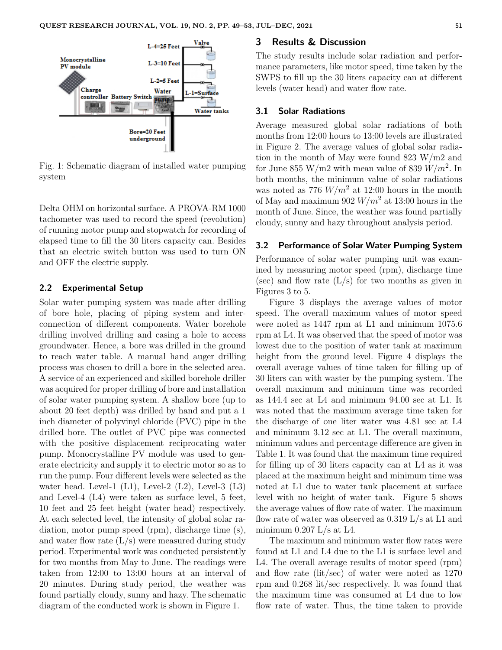

Fig. 1: Schematic diagram of installed water pumping system

Delta OHM on horizontal surface. A PROVA-RM 1000 tachometer was used to record the speed (revolution) of running motor pump and stopwatch for recording of elapsed time to fill the 30 liters capacity can. Besides that an electric switch button was used to turn ON and OFF the electric supply.

### **2.2 Experimental Setup**

Solar water pumping system was made after drilling of bore hole, placing of piping system and interconnection of different components. Water borehole drilling involved drilling and casing a hole to access groundwater. Hence, a bore was drilled in the ground to reach water table. A manual hand auger drilling process was chosen to drill a bore in the selected area. A service of an experienced and skilled borehole driller was acquired for proper drilling of bore and installation of solar water pumping system. A shallow bore (up to about 20 feet depth) was drilled by hand and put a 1 inch diameter of polyvinyl chloride (PVC) pipe in the drilled bore. The outlet of PVC pipe was connected with the positive displacement reciprocating water pump. Monocrystalline PV module was used to generate electricity and supply it to electric motor so as to run the pump. Four different levels were selected as the water head. Level-1  $(L1)$ , Level-2  $(L2)$ , Level-3  $(L3)$ and Level-4 (L4) were taken as surface level, 5 feet, 10 feet and 25 feet height (water head) respectively. At each selected level, the intensity of global solar radiation, motor pump speed (rpm), discharge time (s), and water flow rate  $(L/s)$  were measured during study period. Experimental work was conducted persistently for two months from May to June. The readings were taken from 12:00 to 13:00 hours at an interval of 20 minutes. During study period, the weather was found partially cloudy, sunny and hazy. The schematic diagram of the conducted work is shown in Figure 1.

#### **3 Results & Discussion**

The study results include solar radiation and performance parameters, like motor speed, time taken by the SWPS to fill up the 30 liters capacity can at different levels (water head) and water flow rate.

#### **3.1 Solar Radiations**

Average measured global solar radiations of both months from 12:00 hours to 13:00 levels are illustrated in Figure 2. The average values of global solar radiation in the month of May were found 823 W/m2 and for June 855 W/m2 with mean value of 839 *W/m*<sup>2</sup> . In both months, the minimum value of solar radiations was noted as 776  $W/m^2$  at 12:00 hours in the month of May and maximum 902 *W/m*<sup>2</sup> at 13:00 hours in the month of June. Since, the weather was found partially cloudy, sunny and hazy throughout analysis period.

#### **3.2 Performance of Solar Water Pumping System**

Performance of solar water pumping unit was examined by measuring motor speed (rpm), discharge time (sec) and flow rate  $(L/s)$  for two months as given in Figures 3 to 5.

Figure 3 displays the average values of motor speed. The overall maximum values of motor speed were noted as 1447 rpm at L1 and minimum 1075.6 rpm at L4. It was observed that the speed of motor was lowest due to the position of water tank at maximum height from the ground level. Figure 4 displays the overall average values of time taken for filling up of 30 liters can with waster by the pumping system. The overall maximum and minimum time was recorded as 144.4 sec at L4 and minimum 94.00 sec at L1. It was noted that the maximum average time taken for the discharge of one liter water was 4.81 sec at L4 and minimum 3.12 sec at L1. The overall maximum, minimum values and percentage difference are given in Table 1. It was found that the maximum time required for filling up of 30 liters capacity can at L4 as it was placed at the maximum height and minimum time was noted at L1 due to water tank placement at surface level with no height of water tank. Figure 5 shows the average values of flow rate of water. The maximum flow rate of water was observed as 0.319 L/s at L1 and minimum  $0.207$  L/s at L4.

The maximum and minimum water flow rates were found at L1 and L4 due to the L1 is surface level and L4. The overall average results of motor speed (rpm) and flow rate (lit/sec) of water were noted as 1270 rpm and 0.268 lit/sec respectively. It was found that the maximum time was consumed at L4 due to low flow rate of water. Thus, the time taken to provide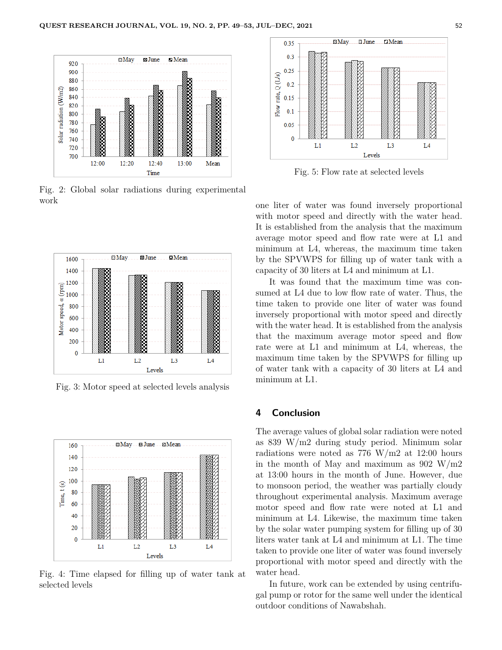

Fig. 2: Global solar radiations during experimental work



Fig. 3: Motor speed at selected levels analysis



Fig. 4: Time elapsed for filling up of water tank at selected levels



Fig. 5: Flow rate at selected levels

one liter of water was found inversely proportional with motor speed and directly with the water head. It is established from the analysis that the maximum average motor speed and flow rate were at L1 and minimum at L4, whereas, the maximum time taken by the SPVWPS for filling up of water tank with a capacity of 30 liters at L4 and minimum at L1.

It was found that the maximum time was consumed at L4 due to low flow rate of water. Thus, the time taken to provide one liter of water was found inversely proportional with motor speed and directly with the water head. It is established from the analysis that the maximum average motor speed and flow rate were at L1 and minimum at L4, whereas, the maximum time taken by the SPVWPS for filling up of water tank with a capacity of 30 liters at L4 and minimum at L1.

# **4 Conclusion**

The average values of global solar radiation were noted as 839 W/m2 during study period. Minimum solar radiations were noted as  $776 \text{ W/m}2$  at  $12:00 \text{ hours}$ in the month of May and maximum as  $902 \text{ W/m2}$ at 13:00 hours in the month of June. However, due to monsoon period, the weather was partially cloudy throughout experimental analysis. Maximum average motor speed and flow rate were noted at L1 and minimum at L4. Likewise, the maximum time taken by the solar water pumping system for filling up of 30 liters water tank at L4 and minimum at L1. The time taken to provide one liter of water was found inversely proportional with motor speed and directly with the water head.

In future, work can be extended by using centrifugal pump or rotor for the same well under the identical outdoor conditions of Nawabshah.